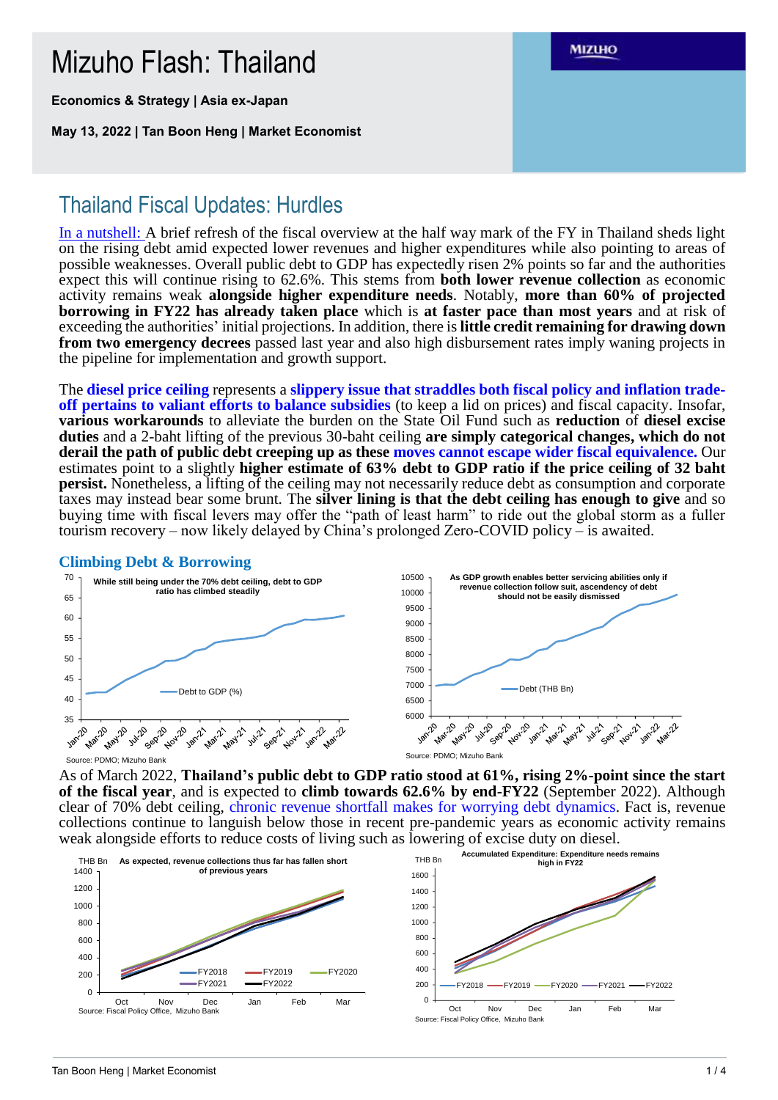# Mizuho Flash: Thailand

**Economics & Strategy | Asia ex-Japan**

**May 13, 2022 | Tan Boon Heng | Market Economist**

## **MIZUHO**

# Thailand Fiscal Updates: Hurdles

In a nutshell: A brief refresh of the fiscal overview at the half way mark of the FY in Thailand sheds light on the rising debt amid expected lower revenues and higher expenditures while also pointing to areas of possible weaknesses. Overall public debt to GDP has expectedly risen 2% points so far and the authorities expect this will continue rising to 62.6%. This stems from **both lower revenue collection** as economic activity remains weak **alongside higher expenditure needs**. Notably, **more than 60% of projected borrowing in FY22 has already taken place** which is **at faster pace than most years** and at risk of exceeding the authorities' initial projections. In addition, there is **little credit remaining for drawing down from two emergency decrees** passed last year and also high disbursement rates imply waning projects in the pipeline for implementation and growth support.

The **diesel price ceiling** represents a **slippery issue that straddles both fiscal policy and inflation tradeoff pertains to valiant efforts to balance subsidies** (to keep a lid on prices) and fiscal capacity. Insofar, **various workarounds** to alleviate the burden on the State Oil Fund such as **reduction** of **diesel excise duties** and a 2-baht lifting of the previous 30-baht ceiling **are simply categorical changes, which do not derail the path of public debt creeping up as these moves cannot escape wider fiscal equivalence.** Our estimates point to a slightly **higher estimate of 63% debt to GDP ratio if the price ceiling of 32 baht persist.** Nonetheless, a lifting of the ceiling may not necessarily reduce debt as consumption and corporate taxes may instead bear some brunt. The **silver lining is that the debt ceiling has enough to give** and so buying time with fiscal levers may offer the "path of least harm" to ride out the global storm as a fuller tourism recovery – now likely delayed by China's prolonged Zero-COVID policy – is awaited.

### **Climbing Debt & Borrowing**



As of March 2022, **Thailand's public debt to GDP ratio stood at 61%, rising 2%-point since the start of the fiscal year**, and is expected to **climb towards 62.6% by end-FY22** (September 2022). Although clear of 70% debt ceiling, chronic revenue shortfall makes for worrying debt dynamics. Fact is, revenue collections continue to languish below those in recent pre-pandemic years as economic activity remains weak alongside efforts to reduce costs of living such as lowering of excise duty on diesel.



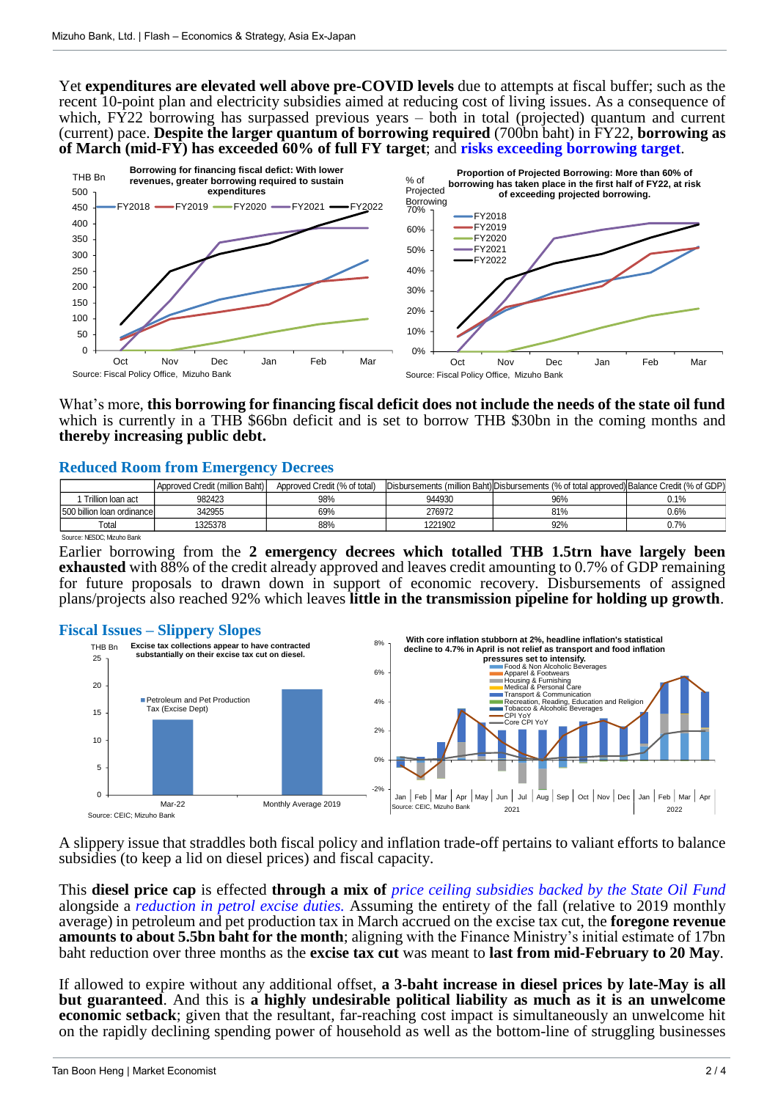Yet **expenditures are elevated well above pre-COVID levels** due to attempts at fiscal buffer; such as the recent 10-point plan and electricity subsidies aimed at reducing cost of living issues. As a consequence of which, FY22 borrowing has surpassed previous years – both in total (projected) quantum and current (current) pace. **Despite the larger quantum of borrowing required** (700bn baht) in FY22, **borrowing as of March (mid-FY) has exceeded 60% of full FY target**; and **risks exceeding borrowing target**.



## **Reduced Room from Emergency Decrees**

|                                                                                                                                                                                                                                                                                                   |                                | 0%                           |                                                                                            |                   |     |         |     |
|---------------------------------------------------------------------------------------------------------------------------------------------------------------------------------------------------------------------------------------------------------------------------------------------------|--------------------------------|------------------------------|--------------------------------------------------------------------------------------------|-------------------|-----|---------|-----|
| Oct                                                                                                                                                                                                                                                                                               | Nov<br>Dec.                    | Feb<br>Mar<br>Jan            | Oct                                                                                        | Nov<br><b>Dec</b> | Jan | Feb     | Mar |
| Source: Fiscal Policy Office, Mizuho Bank                                                                                                                                                                                                                                                         |                                |                              | Source: Fiscal Policy Office, Mizuho Bank                                                  |                   |     |         |     |
| What's more, this borrowing for financing fiscal deficit does not include the needs of the state oil fund<br>which is currently in a THB \$66bn deficit and is set to borrow THB \$30bn in the coming months and<br>thereby increasing public debt.<br><b>Reduced Room from Emergency Decrees</b> |                                |                              |                                                                                            |                   |     |         |     |
|                                                                                                                                                                                                                                                                                                   | Approved Credit (million Baht) | Approved Credit (% of total) | Disbursements (million Baht) Disbursements (% of total approved) Balance Credit (% of GDP) |                   |     |         |     |
| 1 Trillion Ioan act                                                                                                                                                                                                                                                                               | 982423                         | 98%                          | 944930                                                                                     | 96%               |     | 0.1%    |     |
| 500 billion loan ordinance                                                                                                                                                                                                                                                                        | 342955                         | 69%                          | 276972                                                                                     | 81%               |     | $0.6\%$ |     |
| Total                                                                                                                                                                                                                                                                                             | 1325378                        | 88%                          | 1221902                                                                                    | 92%               |     | 0.7%    |     |
| Source: NESDC; Mizuho Bank                                                                                                                                                                                                                                                                        |                                |                              |                                                                                            |                   |     |         |     |

Earlier borrowing from the **2 emergency decrees which totalled THB 1.5trn have largely been exhausted** with 88% of the credit already approved and leaves credit amounting to 0.7% of GDP remaining for future proposals to drawn down in support of economic recovery. Disbursements of assigned plans/projects also reached 92% which leaves **little in the transmission pipeline for holding up growth**.

### **Fiscal Issues – Slippery Slopes**



A slippery issue that straddles both fiscal policy and inflation trade-off pertains to valiant efforts to balance subsidies (to keep a lid on diesel prices) and fiscal capacity.

This **diesel price cap** is effected **through a mix of** *price ceiling subsidies backed by the State Oil Fund* alongside a *reduction in petrol excise duties.* Assuming the entirety of the fall (relative to 2019 monthly average) in petroleum and pet production tax in March accrued on the excise tax cut, the **foregone revenue amounts to about 5.5bn baht for the month**; aligning with the Finance Ministry's initial estimate of 17bn baht reduction over three months as the **excise tax cut** was meant to **last from mid-February to 20 May**.

If allowed to expire without any additional offset, **a 3-baht increase in diesel prices by late-May is all but guaranteed**. And this is **a highly undesirable political liability as much as it is an unwelcome economic setback**; given that the resultant, far-reaching cost impact is simultaneously an unwelcome hit on the rapidly declining spending power of household as well as the bottom-line of struggling businesses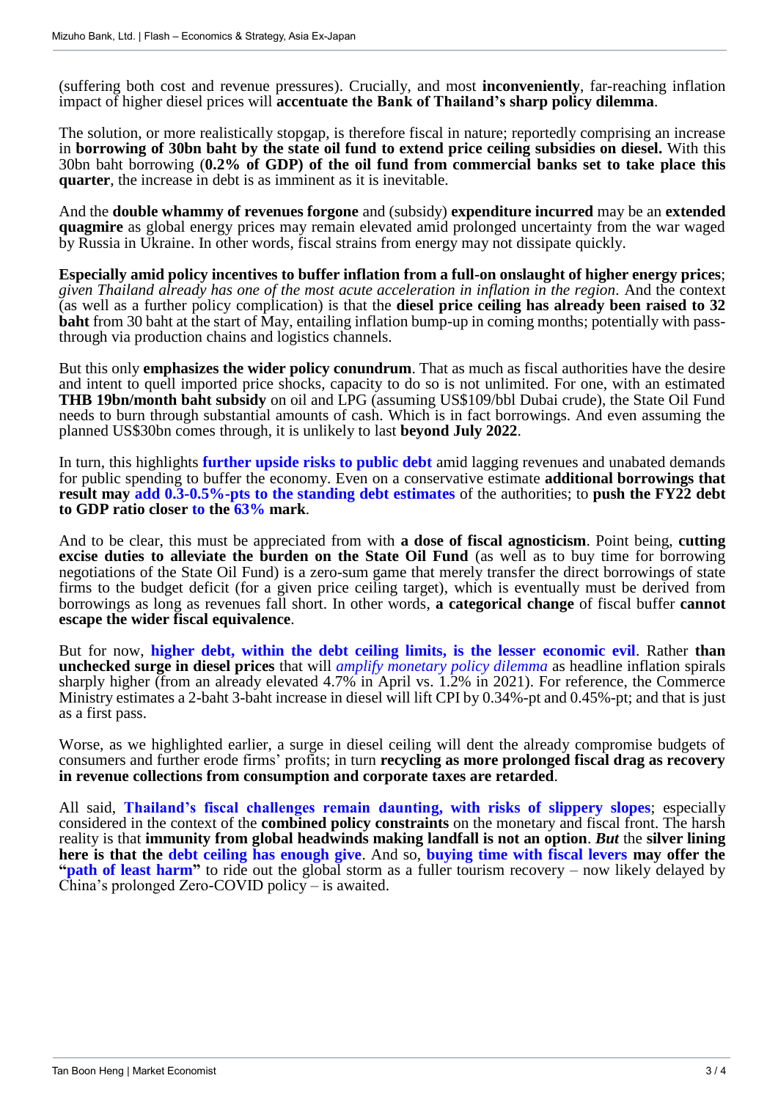(suffering both cost and revenue pressures). Crucially, and most **inconveniently**, far-reaching inflation impact of higher diesel prices will **accentuate the Bank of Thailand's sharp policy dilemma**.

The solution, or more realistically stopgap, is therefore fiscal in nature; reportedly comprising an increase in **borrowing of 30bn baht by the state oil fund to extend price ceiling subsidies on diesel.** With this 30bn baht borrowing (**0.2% of GDP) of the oil fund from commercial banks set to take place this quarter**, the increase in debt is as imminent as it is inevitable.

And the **double whammy of revenues forgone** and (subsidy) **expenditure incurred** may be an **extended quagmire** as global energy prices may remain elevated amid prolonged uncertainty from the war waged by Russia in Ukraine. In other words, fiscal strains from energy may not dissipate quickly.

**Especially amid policy incentives to buffer inflation from a full-on onslaught of higher energy prices**; *given Thailand already has one of the most acute acceleration in inflation in the region.* And the context (as well as a further policy complication) is that the **diesel price ceiling has already been raised to 32 baht** from 30 baht at the start of May, entailing inflation bump-up in coming months; potentially with passthrough via production chains and logistics channels.

But this only **emphasizes the wider policy conundrum**. That as much as fiscal authorities have the desire and intent to quell imported price shocks, capacity to do so is not unlimited. For one, with an estimated **THB 19bn/month baht subsidy** on oil and LPG (assuming US\$109/bbl Dubai crude), the State Oil Fund needs to burn through substantial amounts of cash. Which is in fact borrowings. And even assuming the planned US\$30bn comes through, it is unlikely to last **beyond July 2022**.

In turn, this highlights **further upside risks to public debt** amid lagging revenues and unabated demands for public spending to buffer the economy. Even on a conservative estimate **additional borrowings that result may add 0.3-0.5%-pts to the standing debt estimates** of the authorities; to **push the FY22 debt to GDP ratio closer to the 63% mark**.

And to be clear, this must be appreciated from with **a dose of fiscal agnosticism**. Point being, **cutting excise duties to alleviate the burden on the State Oil Fund** (as well as to buy time for borrowing negotiations of the State Oil Fund) is a zero-sum game that merely transfer the direct borrowings of state firms to the budget deficit (for a given price ceiling target), which is eventually must be derived from borrowings as long as revenues fall short. In other words, **a categorical change** of fiscal buffer **cannot escape the wider fiscal equivalence**.

But for now, **higher debt, within the debt ceiling limits, is the lesser economic evil**. Rather **than unchecked surge in diesel prices** that will *amplify monetary policy dilemma* as headline inflation spirals sharply higher (from an already elevated 4.7% in April vs. 1.2% in 2021). For reference, the Commerce Ministry estimates a 2-baht 3-baht increase in diesel will lift CPI by 0.34%-pt and 0.45%-pt; and that is just as a first pass.

Worse, as we highlighted earlier, a surge in diesel ceiling will dent the already compromise budgets of consumers and further erode firms' profits; in turn **recycling as more prolonged fiscal drag as recovery in revenue collections from consumption and corporate taxes are retarded**.

All said, **Thailand's fiscal challenges remain daunting, with risks of slippery slopes**; especially considered in the context of the **combined policy constraints** on the monetary and fiscal front. The harsh reality is that **immunity from global headwinds making landfall is not an option**. *But* the **silver lining here is that the debt ceiling has enough give**. And so, **buying time with fiscal levers may offer the "path of least harm"** to ride out the global storm as a fuller tourism recovery – now likely delayed by China's prolonged Zero-COVID policy – is awaited.